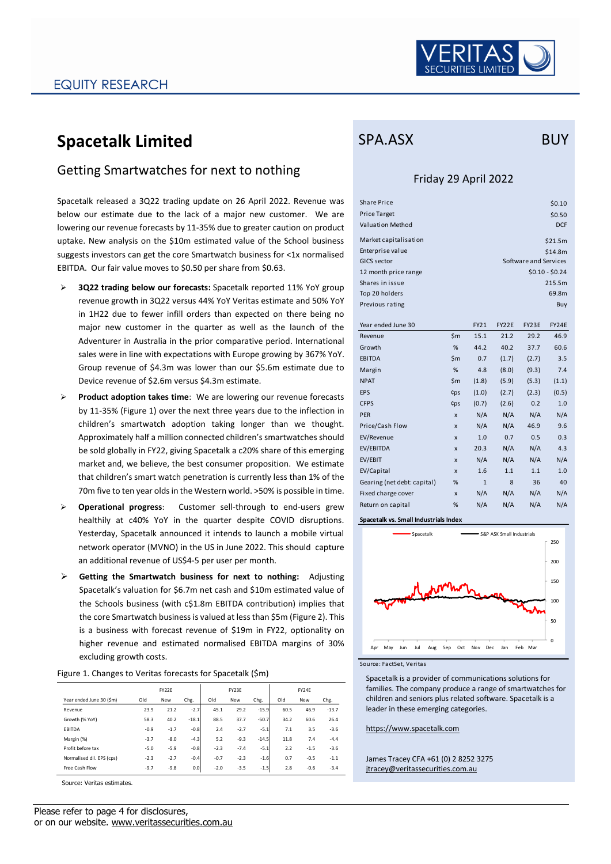

# **Spacetalk Limited**

### Getting Smartwatches for next to nothing

Spacetalk released a 3Q22 trading update on 26 April 2022. Revenue was below our estimate due to the lack of a major new customer. We are lowering our revenue forecasts by 11-35% due to greater caution on product uptake. New analysis on the \$10m estimated value of the School business suggests investors can get the core Smartwatch business for <1x normalised EBITDA. Our fair value moves to \$0.50 per share from \$0.63.

- ➢ **3Q22 trading below our forecasts:** Spacetalk reported 11% YoY group revenue growth in 3Q22 versus 44% YoY Veritas estimate and 50% YoY in 1H22 due to fewer infill orders than expected on there being no major new customer in the quarter as well as the launch of the Adventurer in Australia in the prior comparative period. International sales were in line with expectations with Europe growing by 367% YoY. Group revenue of \$4.3m was lower than our \$5.6m estimate due to Device revenue of \$2.6m versus \$4.3m estimate.
- ➢ **Product adoption takes time**: We are lowering our revenue forecasts by 11-35% (Figure 1) over the next three years due to the inflection in children's smartwatch adoption taking longer than we thought. Approximately half a million connected children's smartwatches should be sold globally in FY22, giving Spacetalk a c20% share of this emerging market and, we believe, the best consumer proposition. We estimate that children's smart watch penetration is currently less than 1% of the 70m five to ten year olds in the Western world. >50% is possible in time.
- ➢ **Operational progress**: Customer sell-through to end-users grew healthily at c40% YoY in the quarter despite COVID disruptions. Yesterday, Spacetalk announced it intends to launch a mobile virtual network operator (MVNO) in the US in June 2022. This should capture an additional revenue of US\$4-5 per user per month.
- ➢ **Getting the Smartwatch business for next to nothing:** Adjusting Spacetalk's valuation for \$6.7m net cash and \$10m estimated value of the Schools business (with c\$1.8m EBITDA contribution) implies that the core Smartwatch business is valued at less than \$5m (Figure 2). This is a business with forecast revenue of \$19m in FY22, optionality on higher revenue and estimated normalised EBITDA margins of 30% excluding growth costs.

| Figure 1. Changes to Veritas forecasts for Spacetalk (\$m) |  |
|------------------------------------------------------------|--|
|------------------------------------------------------------|--|

|                           |        | FY22E  |         | FY23E  |            |         | FY24E |            |         |  |
|---------------------------|--------|--------|---------|--------|------------|---------|-------|------------|---------|--|
| Year ended June 30 (\$m)  | Old    | New    | Chg.    | Old    | <b>New</b> | Chg.    | Old   | <b>New</b> | Chg.    |  |
| Revenue                   | 23.9   | 21.2   | $-2.7$  | 45.1   | 29.2       | $-15.9$ | 60.5  | 46.9       | $-13.7$ |  |
| Growth (% YoY)            | 58.3   | 40.2   | $-18.1$ | 88.5   | 37.7       | $-50.7$ | 34.2  | 60.6       | 26.4    |  |
| <b>EBITDA</b>             | $-0.9$ | $-1.7$ | $-0.8$  | 2.4    | $-2.7$     | $-5.1$  | 7.1   | 3.5        | $-3.6$  |  |
| Margin (%)                | $-3.7$ | $-8.0$ | $-4.3$  | 5.2    | $-9.3$     | $-14.5$ | 11.8  | 7.4        | $-4.4$  |  |
| Profit before tax         | $-5.0$ | $-5.9$ | $-0.8$  | $-2.3$ | $-7.4$     | $-5.1$  | 2.2   | $-1.5$     | $-3.6$  |  |
| Normalised dil. EPS (cps) | $-2.3$ | $-2.7$ | $-0.4$  | $-0.7$ | $-2.3$     | $-1.6$  | 0.7   | $-0.5$     | $-1.1$  |  |
| Free Cash Flow            | $-9.7$ | $-9.8$ | 0.0     | $-2.0$ | $-3.5$     | $-1.5$  | 2.8   | $-0.6$     | $-3.4$  |  |

Source: Veritas estimates.

## SPA.ASX BUY

### Friday 29 April 2022

| <b>Share Price</b>                    |              |              |       |                       | \$0.10           |  |  |  |  |  |  |
|---------------------------------------|--------------|--------------|-------|-----------------------|------------------|--|--|--|--|--|--|
| <b>Price Target</b>                   |              |              |       |                       | \$0.50           |  |  |  |  |  |  |
| <b>Valuation Method</b><br><b>DCF</b> |              |              |       |                       |                  |  |  |  |  |  |  |
|                                       |              |              |       |                       |                  |  |  |  |  |  |  |
| Market capitalisation                 |              |              |       |                       | \$21.5m          |  |  |  |  |  |  |
| Enterprise value                      | \$14.8m      |              |       |                       |                  |  |  |  |  |  |  |
| GICS sector                           |              |              |       | Software and Services |                  |  |  |  |  |  |  |
| 12 month price range                  |              |              |       |                       | $$0.10 - $0.24$$ |  |  |  |  |  |  |
| Shares in issue                       |              |              |       |                       | 215.5m           |  |  |  |  |  |  |
| Top 20 holders                        |              |              |       |                       | 69.8m            |  |  |  |  |  |  |
| Previous rating                       |              |              |       |                       | Buy              |  |  |  |  |  |  |
|                                       |              |              |       |                       |                  |  |  |  |  |  |  |
| Year ended June 30                    |              | FY21         | FY22E | FY23E                 | FY24E            |  |  |  |  |  |  |
| Revenue                               | \$m          | 15.1         | 21.2  | 29.2                  | 46.9             |  |  |  |  |  |  |
| Growth                                | %            | 44.2         | 40.2  | 37.7                  | 60.6             |  |  |  |  |  |  |
| <b>EBITDA</b>                         | \$m          | 0.7          | (1.7) | (2.7)                 | 3.5              |  |  |  |  |  |  |
| Margin                                | %            | 4.8          | (8.0) | (9.3)                 | 7.4              |  |  |  |  |  |  |
| <b>NPAT</b>                           | \$m          | (1.8)        | (5.9) | (5.3)                 | (1.1)            |  |  |  |  |  |  |
| <b>EPS</b>                            | ¢ps          | (1.0)        | (2.7) | (2.3)                 | (0.5)            |  |  |  |  |  |  |
| <b>CFPS</b>                           | ¢ps          | (0.7)        | (2.6) | 0.2                   | 1.0              |  |  |  |  |  |  |
| <b>PER</b>                            | $\mathbf{x}$ | N/A          | N/A   | N/A                   | N/A              |  |  |  |  |  |  |
| Price/Cash Flow                       | $\mathbf{x}$ | N/A          | N/A   | 46.9                  | 9.6              |  |  |  |  |  |  |
| EV/Revenue                            | $\mathbf{x}$ | 1.0          | 0.7   | 0.5                   | 0.3              |  |  |  |  |  |  |
| EV/EBITDA                             | X            | 20.3         | N/A   | N/A                   | 4.3              |  |  |  |  |  |  |
| EV/EBIT                               | X            | N/A          | N/A   | N/A                   | N/A              |  |  |  |  |  |  |
| EV/Capital                            | X            | 1.6          | 1.1   | 1.1                   | 1.0              |  |  |  |  |  |  |
| Gearing (net debt: capital)           | %            | $\mathbf{1}$ | 8     | 36                    | 40               |  |  |  |  |  |  |
| Fixed charge cover                    | X            | N/A          | N/A   | N/A                   | N/A              |  |  |  |  |  |  |
| Return on capital                     | %            | N/A          | N/A   | N/A                   | N/A              |  |  |  |  |  |  |
| Spacetalk vs. Small Industrials Index |              |              |       |                       |                  |  |  |  |  |  |  |





Spacetalk is a provider of communications solutions for families. The company produce a range of smartwatches for children and seniors plus related software. Spacetalk is a leader in these emerging categories.

https://www.spacetalk.com

James Tracey CFA +61 (0) 2 8252 3275 jtracey@veritassecurities.com.au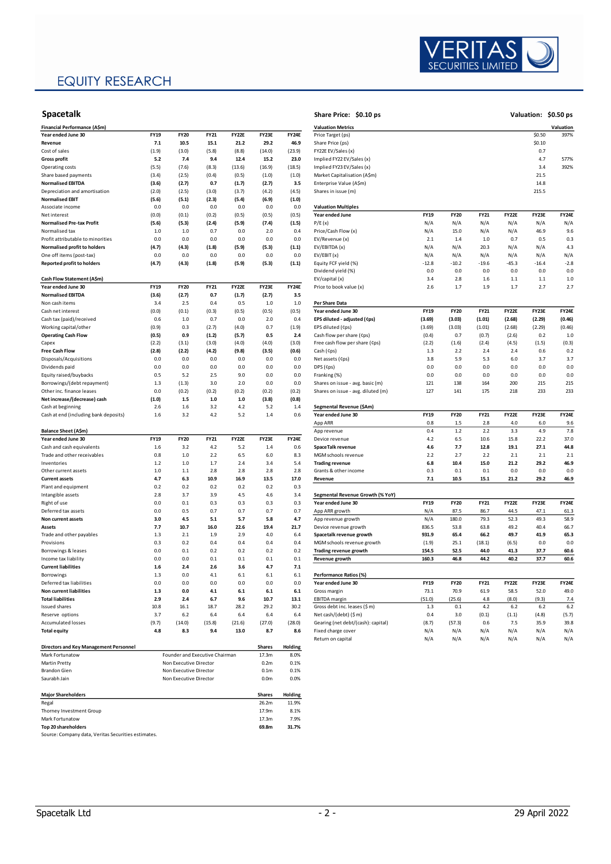### **EQUITY RESEARCH**



#### **Spacetalk Share Price: \$0.10 ps**

| Financial Performance (A\$m)                                      |             |                                |             |              |                  |              | <b>Valuation Metrics</b>                           |             |             |             |                |              |
|-------------------------------------------------------------------|-------------|--------------------------------|-------------|--------------|------------------|--------------|----------------------------------------------------|-------------|-------------|-------------|----------------|--------------|
| Year ended June 30                                                | <b>FY19</b> | <b>FY20</b>                    | <b>FY21</b> | <b>FY22E</b> | FY23E            | <b>FY24E</b> | Price Target (ps)                                  |             |             |             |                | \$0.50       |
| Revenue                                                           | 7.1         | 10.5                           | 15.1        | 21.2         | 29.2             | 46.9         | Share Price (ps)                                   |             |             |             |                | \$0.10       |
| Cost of sales                                                     | (1.9)       | (3.0)                          | (5.8)       | (8.8)        | (14.0)           | (23.9)       | FY22E EV/Sales (x)                                 |             |             |             |                | 0.7          |
| <b>Gross profit</b>                                               | 5.2         | 7.4                            | 9.4         | 12.4         | 15.2             | 23.0         | Implied FY22 EV/Sales (x)                          |             |             |             |                | 4.7          |
| Operating costs                                                   | (5.5)       | (7.6)                          | (8.3)       | (13.6)       | (16.9)           | (18.5)       | Implied FY23 EV/Sales (x)                          |             |             |             |                | 3.4          |
| Share based payments                                              | (3.4)       | (2.5)                          | (0.4)       | (0.5)        | (1.0)            | (1.0)        | Market Capitalisation (A\$m)                       |             |             |             |                | 21.5         |
| <b>Normalised EBITDA</b>                                          | (3.6)       | (2.7)                          | 0.7         | (1.7)        | (2.7)            | 3.5          | Enterprise Value (A\$m)                            |             |             |             |                | 14.8         |
| Depreciation and amortisation                                     | (2.0)       | (2.5)                          | (3.0)       | (3.7)        | (4.2)            | (4.5)        | Shares in issue (m)                                |             |             |             |                | 215.5        |
| <b>Normalised EBIT</b>                                            | (5.6)       | (5.1)                          | (2.3)       | (5.4)        | (6.9)            | (1.0)        |                                                    |             |             |             |                |              |
| Associate income<br>Net interest                                  | 0.0         | 0.0                            | 0.0         | 0.0          | 0.0              | 0.0          | <b>Valuation Multiples</b><br>Year ended June      | <b>FY19</b> | <b>FY20</b> | FY21        | FY22E          | FY23E        |
|                                                                   | (0.0)       | (0.1)                          | (0.2)       | (0.5)        | (0.5)            | (0.5)        |                                                    |             |             |             |                |              |
| <b>Normalised Pre-tax Profit</b>                                  | (5.6)       | (5.3)                          | (2.4)       | (5.9)        | (7.4)            | (1.5)        | P/E(x)                                             | N/A         | N/A<br>15.0 | N/A         | N/A            | N/A          |
| Normalised tax                                                    | 1.0<br>0.0  | 1.0<br>0.0                     | 0.7<br>0.0  | 0.0<br>0.0   | 2.0<br>0.0       | 0.4<br>0.0   | Price/Cash Flow (x)                                | N/A<br>2.1  | 1.4         | N/A<br>1.0  | N/A<br>0.7     | 46.9<br>0.5  |
| Profit attributable to minorities<br>Normalised profit to holders | (4.7)       | (4.3)                          | (1.8)       | (5.9)        | (5.3)            | (1.1)        | EV/Revenue (x)<br>EV/EBITDA (x)                    | N/A         | N/A         | 20.3        | N/A            | N/A          |
| One off items (post-tax)                                          | 0.0         | 0.0                            | 0.0         | 0.0          | 0.0              | 0.0          | EV/EBIT(x)                                         | N/A         | N/A         | N/A         | N/A            | N/A          |
| <b>Reported profit to holders</b>                                 | (4.7)       | (4.3)                          | (1.8)       | (5.9)        | (5.3)            | (1.1)        | Equity FCF yield (%)                               | $-12.8$     | $-10.2$     | -19.6       | $-45.3$        | $-16.4$      |
|                                                                   |             |                                |             |              |                  |              |                                                    | 0.0         | 0.0         |             |                | 0.0          |
| Cash Flow Statement (A\$m)                                        |             |                                |             |              |                  |              | Dividend yield (%)<br>EV/capital (x)               | 3.4         | 2.8         | 0.0<br>1.6  | 0.0<br>$1.1\,$ | 1.1          |
| Year ended June 30                                                | <b>FY19</b> | <b>FY20</b>                    | <b>FY21</b> | <b>FY22E</b> | FY23E            | FY24E        | Price to book value (x)                            | 2.6         | 1.7         | 1.9         | 1.7            | 2.7          |
|                                                                   |             |                                | 0.7         |              |                  |              |                                                    |             |             |             |                |              |
| <b>Normalised EBITDA</b>                                          | (3.6)       | (2.7)                          |             | (1.7)        | (2.7)            | 3.5          |                                                    |             |             |             |                |              |
| Non cash items                                                    | 3.4         | 2.5                            | 0.4         | 0.5          | 1.0              | 1.0          | Per Share Data                                     |             |             |             |                |              |
| Cash net interest                                                 | (0.0)       | (0.1)                          | (0.3)       | (0.5)        | (0.5)            | (0.5)        | Year ended June 30<br>EPS diluted - adjusted (¢ps) | <b>FY19</b> | <b>FY20</b> | <b>FY21</b> | FY22E          | FY23E        |
| Cash tax (paid)/received                                          | 0.6         | 1.0                            | 0.7         | 0.0          | 2.0              | 0.4          |                                                    | (3.69)      | (3.03)      | (1.01)      | (2.68)         | (2.29)       |
| Working capital/other                                             | (0.9)       | 0.3                            | (2.7)       | (4.0)        | 0.7              | (1.9)        | EPS diluted (Cps)                                  | (3.69)      | (3.03)      | (1.01)      | (2.68)         | (2.29)       |
| <b>Operating Cash Flow</b>                                        | (0.5)       | 0.9                            | (1.2)       | (5.7)        | 0.5              | 2.4          | Cash flow per share (Cps)                          | (0.4)       | 0.7         | (0.7)       | (2.6)          | 0.2          |
| Capex                                                             | (2.2)       | (3.1)                          | (3.0)       | (4.0)        | (4.0)            | (3.0)        | Free cash flow per share (Cps)                     | (2.2)       | (1.6)       | (2.4)       | (4.5)          | (1.5)        |
| <b>Free Cash Flow</b>                                             | (2.8)       | (2.2)                          | (4.2)       | (9.8)        | (3.5)            | (0.6)        | Cash (¢ps)                                         | 1.3         | 2.2         | 2.4         | 2.4            | 0.6          |
| Disposals/Acquisitions                                            | 0.0         | 0.0                            | 0.0         | 0.0          | 0.0              | 0.0          | Net assets (Cps)                                   | 3.8         | 5.9         | 5.3         | 6.0            | 3.7          |
| Dividends paid                                                    | 0.0         | 0.0                            | 0.0         | 0.0          | 0.0              | 0.0          | DPS (¢ps)                                          | 0.0         | 0.0         | 0.0         | 0.0            | 0.0          |
| Equity raised/buybacks                                            | 0.5         | 5.2                            | 2.5         | 9.0          | 0.0              | 0.0          | Franking (%)                                       | 0.0         | 0.0         | 0.0         | 0.0            | 0.0          |
| Borrowings/(debt repayment)                                       | 1.3         | (1.3)                          | 3.0         | 2.0          | 0.0              | 0.0          | Shares on issue - avg. basic (m)                   | 121         | 138         | 164         | 200            | 215          |
| Other inc. finance leases                                         | 0.0         | (0.2)                          | (0.2)       | (0.2)        | (0.2)            | (0.2)        | Shares on issue - avg. diluted (m)                 | 127         | 141         | 175         | 218            | 233          |
| Net increase/(decrease) cash                                      | (1.0)       | 1.5                            | 1.0         | $1.0\,$      | (3.8)            | (0.8)        |                                                    |             |             |             |                |              |
| Cash at beginning                                                 | 2.6         | 1.6                            | 3.2         | 4.2          | 5.2              | 1.4          | Segmental Revenue (\$Am)                           |             |             |             |                |              |
| Cash at end (including bank deposits)                             | 1.6         | 3.2                            | 4.2         | 5.2          | 1.4              | 0.6          | Year ended June 30                                 | <b>FY19</b> | <b>FY20</b> | FY21        | FY22E          | <b>FY23E</b> |
|                                                                   |             |                                |             |              |                  |              | App ARR                                            | 0.8         | 1.5         | 2.8         | 4.0            | 6.0          |
| Balance Sheet (A\$m)                                              |             |                                |             |              |                  |              | App revenue                                        | 0.4         | 1.2         | 2.2         | 3.3            | 4.9          |
| Year ended June 30                                                | <b>FY19</b> | <b>FY20</b>                    | FY21        | <b>FY22E</b> | FY23E            | FY24E        | Device revenue                                     | 4.2         | 6.5         | 10.6        | 15.8           | 22.2         |
| Cash and cash equivalents                                         | 1.6         | 3.2                            | 4.2         | 5.2          | 1.4              | 0.6          | SpaceTalk revenue                                  | 4.6         | 7.7         | 12.8        | 19.1           | 27.1         |
| Trade and other receivables                                       | 0.8         | 1.0                            | 2.2         | 6.5          | 6.0              | 8.3          | MGM schools revenue                                | 2.2         | 2.7         | 2.2         | 2.1            | 2.1          |
| Inventories                                                       | 1.2         | 1.0                            | 1.7         | 2.4          | 3.4              | 5.4          | <b>Trading revenue</b>                             | 6.8         | 10.4        | 15.0        | 21.2           | 29.2         |
| Other current assets                                              | 1.0         | 1.1                            | 2.8         | 2.8          | 2.8              | 2.8          | Grants & other income                              | 0.3         | 0.1         | 0.1         | 0.0            | 0.0          |
| <b>Current assets</b>                                             | 4.7         | 6.3                            | 10.9        | 16.9         | 13.5             | 17.0         | Revenue                                            | 7.1         | 10.5        | 15.1        | 21.2           | 29.2         |
| Plant and equipment                                               | 0.2         | 0.2                            | 0.2         | 0.2          | 0.2              | 0.3          |                                                    |             |             |             |                |              |
| Intangible assets                                                 | 2.8         | 3.7                            | 3.9         | 4.5          | 4.6              | 3.4          | Segmental Revenue Growth (% YoY)                   |             |             |             |                |              |
| Right of use                                                      | 0.0         | 0.1                            | 0.3         | 0.3          | 0.3              | 0.3          | Year ended June 30                                 | FY19        | <b>FY20</b> | <b>FY21</b> | FY22E          | FY23E        |
| Deferred tax assets                                               | 0.0         | 0.5                            | 0.7         | 0.7          | 0.7              | 0.7          | App ARR growth                                     | N/A         | 87.5        | 86.7        | 44.5           | 47.1         |
| Non current assets                                                | 3.0         | 4.5                            | 5.1         | 5.7          | 5.8              | 4.7          | App revenue growth                                 | N/A         | 180.0       | 79.3        | 52.3           | 49.3         |
| Assets                                                            | 7.7         | 10.7                           | 16.0        | 22.6         | 19.4             | 21.7         | Device revenue growth                              | 836.5       | 53.8        | 63.8        | 49.2           | 40.4         |
| Trade and other payables                                          | 1.3         | 2.1                            | 1.9         | 2.9          | 4.0              | 6.4          | Spacetalk revenue growth                           | 931.9       | 65.4        | 66.2        | 49.7           | 41.9         |
| Provisions                                                        | 0.3         | 0.2                            | 0.4         | 0.4          | 0.4              | 0.4          | MGM schools revenue growth                         | (1.9)       | 25.1        | (18.1)      | (6.5)          | 0.0          |
| Borrowings & leases                                               | 0.0         | 0.1                            | 0.2         | 0.2          | 0.2              | 0.2          | <b>Trading revenue growth</b>                      | 154.5       | 52.5        | 44.0        | 41.3           | 37.7         |
| Income tax liability                                              | 0.0         | 0.0                            | 0.1         | 0.1          | 0.1              | 0.1          | Revenue growth                                     | 160.3       | 46.8        | 44.2        | 40.2           | 37.7         |
| <b>Current liabilities</b>                                        | 1.6         | 2.4                            | 2.6         | 3.6          | 4.7              | 7.1          |                                                    |             |             |             |                |              |
| Borrowings                                                        | 1.3         | 0.0                            | 4.1         | 6.1          | 6.1              | 6.1          | Performance Ratios (%)                             |             |             |             |                |              |
| Deferred tax liabilities                                          | 0.0         | 0.0                            | 0.0         | 0.0          | 0.0              | 0.0          | Year ended June 30                                 | <b>FY19</b> | <b>FY20</b> | FY21        | FY22E          | FY23E        |
| Non current liabilities                                           | 1.3         | 0.0                            | 4.1         | $6.1\,$      | 6.1              | $6.1$        | Gross margin                                       | 73.1        | 70.9        | 61.9        | 58.5           | 52.0         |
| <b>Total liabilities</b>                                          | 2.9         | 2.4                            | 6.7         | 9.6          | 10.7             | 13.1         | <b>EBITDA</b> margin                               | (51.0)      | (25.6)      | 4.8         | (8.0)          | (9.3)        |
| <b>Issued shares</b>                                              | 10.8        | 16.1                           | 18.7        | 28.2         | 29.2             | 30.2         | Gross debt inc. leases (\$ m)                      | 1.3         | 0.1         | 4.2         | 6.2            | 6.2          |
| Reserve options                                                   | 3.7         | 6.2                            | 6.4         | 6.4          | 6.4              | 6.4          | Net cash/(debt) (\$ m)                             | 0.4         | 3.0         | (0.1)       | (1.1)          | (4.8)        |
| Accumulated losses                                                | (9.7)       | (14.0)                         | (15.8)      | (21.6)       | (27.0)           | (28.0)       | Gearing (net debt/(cash): capital)                 | (8.7)       | (57.3)      | 0.6         | 7.5            | 35.9         |
| <b>Total equity</b>                                               | 4.8         | 8.3                            | 9.4         | 13.0         | 8.7              | 8.6          | Fixed charge cover                                 | N/A         | N/A         | N/A         | N/A            | N/A          |
|                                                                   |             |                                |             |              |                  |              | Return on capital                                  | N/A         | N/A         | N/A         | N/A            | N/A          |
| <b>Directors and Key Management Personnel</b>                     |             |                                |             |              | <b>Shares</b>    | Holding      |                                                    |             |             |             |                |              |
| Mark Fortunatow                                                   |             | Founder and Executive Chairman |             |              | 17.3m            | 8.0%         |                                                    |             |             |             |                |              |
| Martin Pretty                                                     |             | Non Executive Director         |             |              | 0.2 <sub>m</sub> | 0.1%         |                                                    |             |             |             |                |              |
| Brandon Gien                                                      |             | Non Executive Director         |             |              | 0.1 <sub>m</sub> | 0.1%         |                                                    |             |             |             |                |              |
| Saurabh Jain                                                      |             | Non Executive Director         |             |              | 0.0 <sub>m</sub> | 0.0%         |                                                    |             |             |             |                |              |
|                                                                   |             |                                |             |              |                  |              |                                                    |             |             |             |                |              |
| <b>Major Shareholders</b>                                         |             |                                |             |              | <b>Shares</b>    | Holding      |                                                    |             |             |             |                |              |
| Regal                                                             |             |                                |             |              | 26.2m            | 11.9%        |                                                    |             |             |             |                |              |
| Thorney Investment Group                                          |             |                                |             |              | 17.9m            | 8.1%         |                                                    |             |             |             |                |              |

Mark Fortunatow 17.3m 7.9% **Top 20 shareholders 69.8m 31.7%**

| <b>Spacetalk</b>                       |             |             |             |              |               |         | Share Price: \$0.10 ps             |             |             |             |              |         | Valuation: \$0.50 ps |
|----------------------------------------|-------------|-------------|-------------|--------------|---------------|---------|------------------------------------|-------------|-------------|-------------|--------------|---------|----------------------|
| Financial Performance (A\$m)           |             |             |             |              |               |         | <b>Valuation Metrics</b>           |             |             |             |              |         | Valuation            |
| Year ended June 30                     | FY19        | <b>FY20</b> | <b>FY21</b> | <b>FY22E</b> | FY23E         | FY24E   | Price Target (ps)                  |             |             |             |              | \$0.50  | 397%                 |
| Revenue                                | 7.1         | 10.5        | 15.1        | 21.2         | 29.2          | 46.9    | Share Price (ps)                   |             |             |             |              | \$0.10  |                      |
| Cost of sales                          | (1.9)       | (3.0)       | (5.8)       | (8.8)        | (14.0)        | (23.9)  | FY22E EV/Sales (x)                 |             |             |             |              | 0.7     |                      |
| <b>Gross profit</b>                    | 5.2         | 7.4         | 9.4         | 12.4         | 15.2          | 23.0    | Implied FY22 EV/Sales (x)          |             |             |             |              | 4.7     | 577%                 |
| Operating costs                        | (5.5)       | (7.6)       | (8.3)       | (13.6)       | (16.9)        | (18.5)  | Implied FY23 EV/Sales (x)          |             |             |             |              | 3.4     | 392%                 |
| Share based payments                   | (3.4)       | (2.5)       | (0.4)       | (0.5)        | (1.0)         | (1.0)   | Market Capitalisation (A\$m)       |             |             |             |              | 21.5    |                      |
| <b>Normalised EBITDA</b>               | (3.6)       | (2.7)       | 0.7         | (1.7)        | (2.7)         | 3.5     | Enterprise Value (A\$m)            |             |             |             |              | 14.8    |                      |
| Depreciation and amortisation          | (2.0)       | (2.5)       | (3.0)       | (3.7)        | (4.2)         | (4.5)   | Shares in issue (m)                |             |             |             |              | 215.5   |                      |
| <b>Normalised EBIT</b>                 | (5.6)       | (5.1)       | (2.3)       | (5.4)        | (6.9)         | (1.0)   |                                    |             |             |             |              |         |                      |
| Associate income                       | 0.0         | 0.0         | 0.0         | 0.0          | 0.0           | 0.0     | <b>Valuation Multiples</b>         |             |             |             |              |         |                      |
| Net interest                           | (0.0)       | (0.1)       | (0.2)       | (0.5)        | (0.5)         | (0.5)   | Year ended June                    | <b>FY19</b> | <b>FY20</b> | <b>FY21</b> | FY22E        | FY23E   | <b>FY24E</b>         |
| <b>Normalised Pre-tax Profit</b>       | (5.6)       | (5.3)       | (2.4)       | (5.9)        | (7.4)         | (1.5)   | P/E(x)                             | N/A         | N/A         | N/A         | N/A          | N/A     | N/A                  |
| Normalised tax                         | 1.0         | 1.0         | 0.7         | 0.0          | 2.0           | 0.4     | Price/Cash Flow (x)                | N/A         | 15.0        | N/A         | N/A          | 46.9    | 9.6                  |
| Profit attributable to minorities      | 0.0         | 0.0         | 0.0         | 0.0          | 0.0           | 0.0     | EV/Revenue (x)                     | 2.1         | 1.4         | 1.0         | 0.7          | 0.5     | 0.3                  |
| Normalised profit to holders           | (4.7)       | (4.3)       | (1.8)       | (5.9)        | (5.3)         | (1.1)   | EV/EBITDA (x)                      | N/A         | N/A         | 20.3        | N/A          | N/A     | 4.3                  |
| One off items (post-tax)               | 0.0         | 0.0         | 0.0         | 0.0          | 0.0           | 0.0     | EV/EBIT (x)                        | N/A         | N/A         | N/A         | N/A          | N/A     | N/A                  |
| <b>Reported profit to holders</b>      | (4.7)       | (4.3)       | (1.8)       | (5.9)        | (5.3)         | (1.1)   | Equity FCF yield (%)               | $-12.8$     | $-10.2$     | $-19.6$     | $-45.3$      | $-16.4$ | $-2.8$               |
|                                        |             |             |             |              |               |         | Dividend yield (%)                 | 0.0         | 0.0         | 0.0         | 0.0          | 0.0     | 0.0                  |
| Cash Flow Statement (A\$m)             |             |             |             |              |               |         | EV/capital (x)                     | 3.4         | 2.8         | 1.6         | $1.1\,$      | $1.1$   | 1.0                  |
| Year ended June 30                     | <b>FY19</b> | <b>FY20</b> | FY21        | <b>FY22E</b> | FY23E         | FY24E   | Price to book value (x)            | 2.6         | 1.7         | 1.9         | 1.7          | 2.7     | 2.7                  |
| <b>Normalised EBITDA</b>               | (3.6)       | (2.7)       | 0.7         | (1.7)        | (2.7)         | 3.5     |                                    |             |             |             |              |         |                      |
| Non cash items                         | 3.4         | 2.5         | 0.4         | 0.5          | 1.0           | 1.0     | Per Share Data                     |             |             |             |              |         |                      |
| Cash net interest                      | (0.0)       | (0.1)       | (0.3)       | (0.5)        | (0.5)         | (0.5)   | Year ended June 30                 | <b>FY19</b> | <b>FY20</b> | <b>FY21</b> | <b>FY22E</b> | FY23E   | <b>FY24E</b>         |
| Cash tax (paid)/received               | 0.6         | 1.0         | 0.7         | 0.0          | 2.0           | 0.4     | EPS diluted - adjusted (¢ps)       | (3.69)      | (3.03)      | (1.01)      | (2.68)       | (2.29)  | (0.46)               |
| Working capital/other                  |             | 0.3         | (2.7)       | (4.0)        | 0.7           |         | EPS diluted (Cps)                  |             | (3.03)      |             | (2.68)       |         |                      |
|                                        | (0.9)       |             |             |              |               | (1.9)   |                                    | (3.69)      |             | (1.01)      |              | (2.29)  | (0.46)               |
| <b>Operating Cash Flow</b>             | (0.5)       | 0.9         | (1.2)       | (5.7)        | 0.5           | 2.4     | Cash flow per share (¢ps)          | (0.4)       | 0.7         | (0.7)       | (2.6)        | 0.2     | 1.0                  |
| Capex                                  | (2.2)       | (3.1)       | (3.0)       | (4.0)        | (4.0)         | (3.0)   | Free cash flow per share (¢ps)     | (2.2)       | (1.6)       | (2.4)       | (4.5)        | (1.5)   | (0.3)                |
| <b>Free Cash Flow</b>                  | (2.8)       | (2.2)       | (4.2)       | (9.8)        | (3.5)         | (0.6)   | Cash (¢ps)                         | 1.3         | 2.2         | 2.4         | 2.4          | 0.6     | 0.2                  |
| Disposals/Acquisitions                 | 0.0         | 0.0         | 0.0         | 0.0          | 0.0           | 0.0     | Net assets (Cps)                   | 3.8         | 5.9         | 5.3         | 6.0          | 3.7     | 3.7                  |
| Dividends paid                         | 0.0         | 0.0         | 0.0         | 0.0          | 0.0           | 0.0     | DPS (Cps)                          | 0.0         | 0.0         | 0.0         | 0.0          | 0.0     | 0.0                  |
| Equity raised/buybacks                 | 0.5         | 5.2         | 2.5         | 9.0          | 0.0           | 0.0     | Franking (%)                       | 0.0         | 0.0         | 0.0         | 0.0          | 0.0     | 0.0                  |
| Borrowings/(debt repayment)            | 1.3         | (1.3)       | 3.0         | 2.0          | 0.0           | 0.0     | Shares on issue - avg. basic (m)   | 121         | 138         | 164         | 200          | 215     | 215                  |
| Other inc. finance leases              | 0.0         | (0.2)       | (0.2)       | (0.2)        | (0.2)         | (0.2)   | Shares on issue - avg. diluted (m) | 127         | 141         | 175         | 218          | 233     | 233                  |
| Net increase/(decrease) cash           | (1.0)       | $1.5$       | $1.0\,$     | $1.0$        | (3.8)         | (0.8)   |                                    |             |             |             |              |         |                      |
| Cash at beginning                      | 2.6         | 1.6         | 3.2         | 4.2          | 5.2           | 1.4     | Segmental Revenue (\$Am)           |             |             |             |              |         |                      |
| Cash at end (including bank deposits)  | 1.6         | 3.2         | 4.2         | 5.2          | 1.4           | 0.6     | Year ended June 30                 | <b>FY19</b> | <b>FY20</b> | <b>FY21</b> | <b>FY22E</b> | FY23E   | <b>FY24E</b>         |
|                                        |             |             |             |              |               |         | App ARR                            | 0.8         | 1.5         | 2.8         | 4.0          | 6.0     | 9.6                  |
| Balance Sheet (A\$m)                   |             |             |             |              |               |         | App revenue                        | 0.4         | $1.2\,$     | 2.2         | 3.3          | 4.9     | 7.8                  |
| Year ended June 30                     | <b>FY19</b> | <b>FY20</b> | FY21        | <b>FY22E</b> | FY23E         | FY24E   | Device revenue                     | 4.2         | 6.5         | 10.6        | 15.8         | 22.2    | 37.0                 |
| Cash and cash equivalents              | 1.6         | 3.2         | 4.2         | 5.2          | 1.4           | 0.6     | SpaceTalk revenue                  | 4.6         | 7.7         | 12.8        | 19.1         | 27.1    | 44.8                 |
| Trade and other receivables            | 0.8         | $1.0\,$     | 2.2         | 6.5          | 6.0           | 8.3     | MGM schools revenue                | 2.2         | 2.7         | 2.2         | 2.1          | 2.1     | 2.1                  |
| Inventories                            | 1.2         | 1.0         | 1.7         | 2.4          | 3.4           | 5.4     | <b>Trading revenue</b>             | 6.8         | 10.4        | 15.0        | 21.2         | 29.2    | 46.9                 |
| Other current assets                   | 1.0         | $1.1$       | 2.8         | 2.8          | 2.8           | 2.8     | Grants & other income              | 0.3         | 0.1         | 0.1         | 0.0          | 0.0     | 0.0                  |
| <b>Current assets</b>                  | 4.7         | 6.3         | 10.9        | 16.9         | 13.5          | 17.0    | Revenue                            | 7.1         | 10.5        | 15.1        | 21.2         | 29.2    | 46.9                 |
| Plant and equipment                    | 0.2         | 0.2         | 0.2         | 0.2          | 0.2           | 0.3     |                                    |             |             |             |              |         |                      |
| Intangible assets                      | 2.8         | 3.7         | 3.9         | 4.5          | 4.6           | 3.4     | Segmental Revenue Growth (% YoY)   |             |             |             |              |         |                      |
| Right of use                           | 0.0         | 0.1         | 0.3         | 0.3          | 0.3           | 0.3     | Year ended June 30                 | <b>FY19</b> | <b>FY20</b> | FY21        | <b>FY22E</b> | FY23E   | <b>FY24E</b>         |
| Deferred tax assets                    | 0.0         | 0.5         | 0.7         | 0.7          | 0.7           | 0.7     | App ARR growth                     | N/A         | 87.5        | 86.7        | 44.5         | 47.1    | 61.3                 |
| Non current assets                     | 3.0         | 4.5         | 5.1         | 5.7          | 5.8           | 4.7     | App revenue growth                 | N/A         | 180.0       | 79.3        | 52.3         | 49.3    | 58.9                 |
| Assets                                 | 7.7         | 10.7        | 16.0        | 22.6         | 19.4          | 21.7    | Device revenue growth              | 836.5       | 53.8        | 63.8        | 49.2         | 40.4    | 66.7                 |
| Trade and other payables               | 1.3         | 2.1         | 1.9         | 2.9          | 4.0           | 6.4     | Spacetalk revenue growth           | 931.9       | 65.4        | 66.2        | 49.7         | 41.9    | 65.3                 |
| Provisions                             | 0.3         | 0.2         | 0.4         | 0.4          | 0.4           | 0.4     | MGM schools revenue growth         | (1.9)       | 25.1        | (18.1)      | (6.5)        | 0.0     | 0.0                  |
| Borrowings & leases                    | 0.0         | 0.1         | 0.2         | 0.2          | 0.2           | 0.2     | Trading revenue growth             | 154.5       | 52.5        | 44.0        | 41.3         | 37.7    | 60.6                 |
| Income tax liability                   | 0.0         | 0.0         | 0.1         | 0.1          | 0.1           | 0.1     | Revenue growth                     | 160.3       | 46.8        | 44.2        | 40.2         | 37.7    | 60.6                 |
| <b>Current liabilities</b>             | 1.6         | 2.4         | 2.6         | 3.6          | 4.7           | 7.1     |                                    |             |             |             |              |         |                      |
| Borrowings                             | $1.3$       | 0.0         | 4.1         | 6.1          | $6.1$         | 6.1     | Performance Ratios (%)             |             |             |             |              |         |                      |
| Deferred tax liabilities               | 0.0         | 0.0         | 0.0         | 0.0          | 0.0           | 0.0     | Year ended June 30                 | <b>FY19</b> | <b>FY20</b> | FY21        | <b>FY22E</b> | FY23E   | <b>FY24E</b>         |
| Non current liabilities                | 1.3         | 0.0         | 4.1         | 6.1          | 6.1           | $6.1$   | Gross margin                       | 73.1        | 70.9        | 61.9        | 58.5         | 52.0    | 49.0                 |
| <b>Total liabilities</b>               | 2.9         | 2.4         | 6.7         | 9.6          | 10.7          | 13.1    | <b>EBITDA</b> margin               | (51.0)      | (25.6)      | 4.8         | (8.0)        | (9.3)   | 7.4                  |
| <b>Issued shares</b>                   | 10.8        | 16.1        | 18.7        | 28.2         | 29.2          | 30.2    | Gross debt inc. leases (\$ m)      | 1.3         | 0.1         | 4.2         | 6.2          | 6.2     | 6.2                  |
| Reserve options                        | 3.7         | 6.2         | 6.4         | 6.4          | 6.4           | 6.4     | Net cash/(debt) (\$ m)             | 0.4         | 3.0         | (0.1)       | (1.1)        | (4.8)   | (5.7)                |
| <b>Accumulated losses</b>              | (9.7)       | (14.0)      | (15.8)      | (21.6)       | (27.0)        | (28.0)  | Gearing (net debt/(cash): capital) | (8.7)       | (57.3)      | 0.6         | 7.5          | 35.9    | 39.8                 |
| Total equity                           | 4.8         | 8.3         | 9.4         | 13.0         | 8.7           | 8.6     | Fixed charge cover                 | N/A         | N/A         | N/A         | N/A          | N/A     | N/A                  |
|                                        |             |             |             |              |               |         | Return on capital                  | N/A         | N/A         | N/A         | N/A          | N/A     | N/A                  |
| Directors and Key Management Personnel |             |             |             |              | <b>Shares</b> | Holding |                                    |             |             |             |              |         |                      |

Source: Company data, Veritas Securities estimates.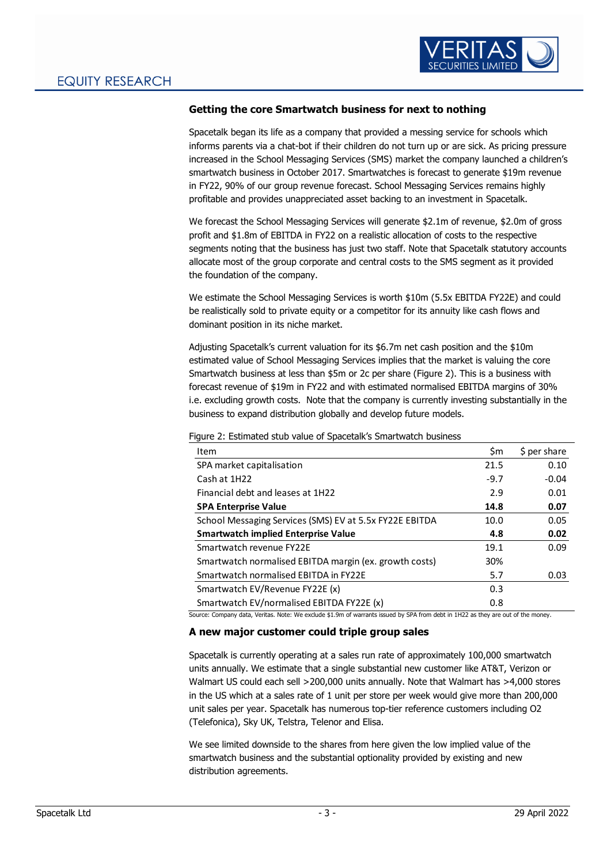

### **Getting the core Smartwatch business for next to nothing**

Spacetalk began its life as a company that provided a messing service for schools which informs parents via a chat-bot if their children do not turn up or are sick. As pricing pressure increased in the School Messaging Services (SMS) market the company launched a children's smartwatch business in October 2017. Smartwatches is forecast to generate \$19m revenue in FY22, 90% of our group revenue forecast. School Messaging Services remains highly profitable and provides unappreciated asset backing to an investment in Spacetalk.

We forecast the School Messaging Services will generate \$2.1m of revenue, \$2.0m of gross profit and \$1.8m of EBITDA in FY22 on a realistic allocation of costs to the respective segments noting that the business has just two staff. Note that Spacetalk statutory accounts allocate most of the group corporate and central costs to the SMS segment as it provided the foundation of the company.

We estimate the School Messaging Services is worth \$10m (5.5x EBITDA FY22E) and could be realistically sold to private equity or a competitor for its annuity like cash flows and dominant position in its niche market.

Adjusting Spacetalk's current valuation for its \$6.7m net cash position and the \$10m estimated value of School Messaging Services implies that the market is valuing the core Smartwatch business at less than \$5m or 2c per share (Figure 2). This is a business with forecast revenue of \$19m in FY22 and with estimated normalised EBITDA margins of 30% i.e. excluding growth costs. Note that the company is currently investing substantially in the business to expand distribution globally and develop future models.

Figure 2: Estimated stub value of Spacetalk's Smartwatch business

| Item                                                    | \$m    | \$ per share |
|---------------------------------------------------------|--------|--------------|
| SPA market capitalisation                               | 21.5   | 0.10         |
| Cash at 1H22                                            | $-9.7$ | $-0.04$      |
| Financial debt and leases at 1H22                       | 2.9    | 0.01         |
| <b>SPA Enterprise Value</b>                             | 14.8   | 0.07         |
| School Messaging Services (SMS) EV at 5.5x FY22E EBITDA | 10.0   | 0.05         |
| <b>Smartwatch implied Enterprise Value</b>              | 4.8    | 0.02         |
| Smartwatch revenue FY22E                                | 19.1   | 0.09         |
| Smartwatch normalised EBITDA margin (ex. growth costs)  | 30%    |              |
| Smartwatch normalised EBITDA in FY22E                   | 5.7    | 0.03         |
| Smartwatch EV/Revenue FY22E (x)                         | 0.3    |              |
| Smartwatch EV/normalised EBITDA FY22E (x)               | 0.8    |              |

Source: Company data, Veritas. Note: We exclude \$1.9m of warrants issued by SPA from debt in 1H22 as they are out of the money.

#### **A new major customer could triple group sales**

Spacetalk is currently operating at a sales run rate of approximately 100,000 smartwatch units annually. We estimate that a single substantial new customer like AT&T, Verizon or Walmart US could each sell >200,000 units annually. Note that Walmart has >4,000 stores in the US which at a sales rate of 1 unit per store per week would give more than 200,000 unit sales per year. Spacetalk has numerous top-tier reference customers including O2 (Telefonica), Sky UK, Telstra, Telenor and Elisa.

We see limited downside to the shares from here given the low implied value of the smartwatch business and the substantial optionality provided by existing and new distribution agreements.